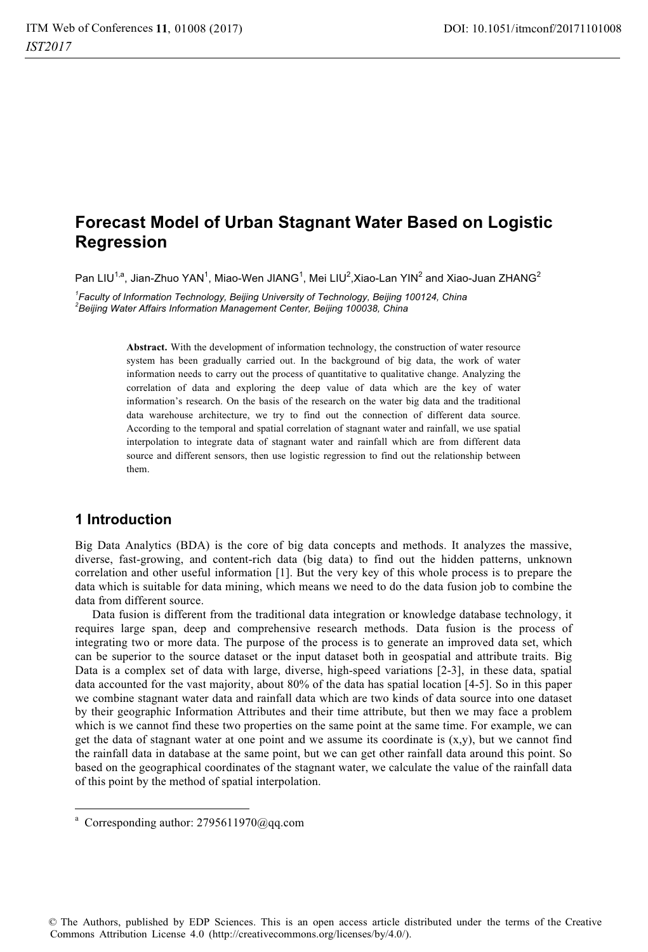# **Forecast Model of Urban Stagnant Water Based on Logistic Regression**

Pan LIU<sup>1,a</sup>, Jian-Zhuo YAN<sup>1</sup>, Miao-Wen JIANG<sup>1</sup>, Mei LIU<sup>2</sup>,Xiao-Lan YIN<sup>2</sup> and Xiao-Juan ZHANG<sup>2</sup>

<sup>1</sup> Faculty of Information Technology, Beijing University of Technology, Beijing 100124, China <sup>2</sup><br><sup>2</sup> Poijing Woter Affaire Information Menagement Center, Peijing 100038, China *Beijing Water Affairs Information Management Center, Beijing 100038, China* 

> **Abstract.** With the development of information technology, the construction of water resource system has been gradually carried out. In the background of big data, the work of water information needs to carry out the process of quantitative to qualitative change. Analyzing the correlation of data and exploring the deep value of data which are the key of water information's research. On the basis of the research on the water big data and the traditional data warehouse architecture, we try to find out the connection of different data source. According to the temporal and spatial correlation of stagnant water and rainfall, we use spatial interpolation to integrate data of stagnant water and rainfall which are from different data source and different sensors, then use logistic regression to find out the relationship between them.

## **1 Introduction**

 $\overline{a}$ 

Big Data Analytics (BDA) is the core of big data concepts and methods. It analyzes the massive, diverse, fast-growing, and content-rich data (big data) to find out the hidden patterns, unknown correlation and other useful information [1]. But the very key of this whole process is to prepare the data which is suitable for data mining, which means we need to do the data fusion job to combine the data from different source.

Data fusion is different from the traditional data integration or knowledge database technology, it requires large span, deep and comprehensive research methods. Data fusion is the process of integrating two or more data. The purpose of the process is to generate an improved data set, which can be superior to the source dataset or the input dataset both in geospatial and attribute traits. Big Data is a complex set of data with large, diverse, high-speed variations [2-3], in these data, spatial data accounted for the vast majority, about 80% of the data has spatial location [4-5]. So in this paper we combine stagnant water data and rainfall data which are two kinds of data source into one dataset by their geographic Information Attributes and their time attribute, but then we may face a problem which is we cannot find these two properties on the same point at the same time. For example, we can get the data of stagnant water at one point and we assume its coordinate is  $(x,y)$ , but we cannot find the rainfall data in database at the same point, but we can get other rainfall data around this point. So based on the geographical coordinates of the stagnant water, we calculate the value of the rainfall data of this point by the method of spatial interpolation.

© The Authors, published by EDP Sciences. This is an open access article distributed under the terms of the Creative Commons Attribution License 4.0 (http://creativecommons.org/licenses/by/4.0/).

<sup>&</sup>lt;sup>a</sup> Corresponding author: 2795611970@qq.com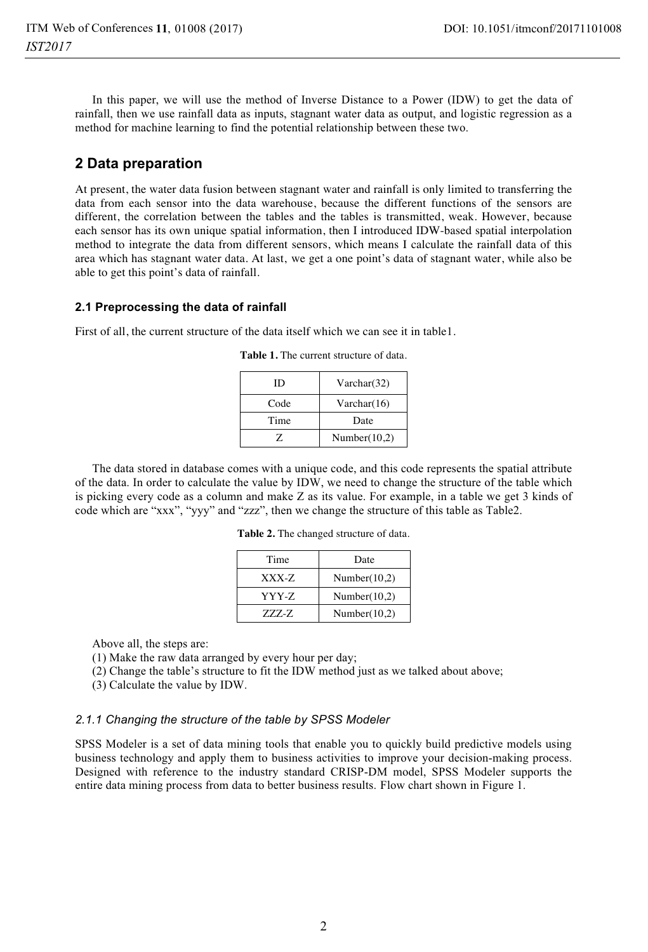In this paper, we will use the method of Inverse Distance to a Power (IDW) to get the data of rainfall, then we use rainfall data as inputs, stagnant water data as output, and logistic regression as a method for machine learning to find the potential relationship between these two.

# **2 Data preparation**

At present, the water data fusion between stagnant water and rainfall is only limited to transferring the data from each sensor into the data warehouse, because the different functions of the sensors are different, the correlation between the tables and the tables is transmitted, weak. However, because each sensor has its own unique spatial information, then I introduced IDW-based spatial interpolation method to integrate the data from different sensors, which means I calculate the rainfall data of this area which has stagnant water data. At last, we get a one point's data of stagnant water, while also be able to get this point's data of rainfall.

## **2.1 Preprocessing the data of rainfall**

First of all, the current structure of the data itself which we can see it in table1.

| ID   | Varchar(32)     |  |
|------|-----------------|--|
| Code | Varchar $(16)$  |  |
| Time | Date            |  |
| 7.   | Number $(10,2)$ |  |

**Table 1.** The current structure of data.

The data stored in database comes with a unique code, and this code represents the spatial attribute of the data. In order to calculate the value by IDW, we need to change the structure of the table which is picking every code as a column and make Z as its value. For example, in a table we get 3 kinds of code which are "xxx", "yyy" and "zzz", then we change the structure of this table as Table2.

**Table 2.** The changed structure of data.

| Time      | Date            |
|-----------|-----------------|
| XXX-Z     | Number $(10,2)$ |
| YYY-Z     | Number $(10,2)$ |
| $777 - 7$ | Number $(10,2)$ |

Above all, the steps are:

(1) Make the raw data arranged by every hour per day;

(2) Change the table's structure to fit the IDW method just as we talked about above;

(3) Calculate the value by IDW.

### *2.1.1 Changing the structure of the table by SPSS Modeler*

SPSS Modeler is a set of data mining tools that enable you to quickly build predictive models using business technology and apply them to business activities to improve your decision-making process. Designed with reference to the industry standard CRISP-DM model, SPSS Modeler supports the entire data mining process from data to better business results. Flow chart shown in Figure 1.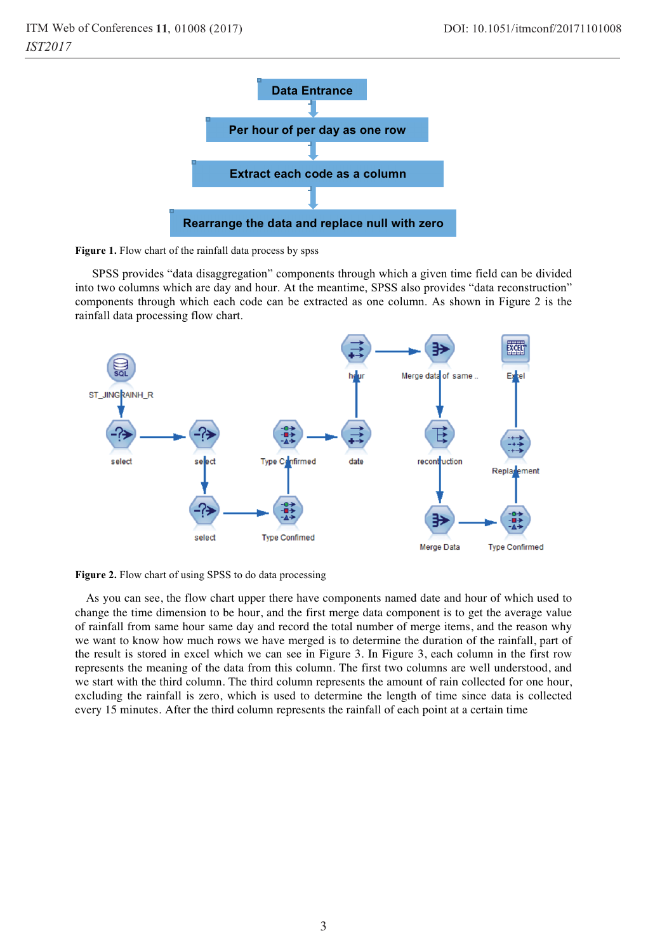

**Figure 1.** Flow chart of the rainfall data process by spss

SPSS provides "data disaggregation" components through which a given time field can be divided into two columns which are day and hour. At the meantime, SPSS also provides "data reconstruction" components through which each code can be extracted as one column. As shown in Figure 2 is the rainfall data processing flow chart.





 As you can see, the flow chart upper there have components named date and hour of which used to change the time dimension to be hour, and the first merge data component is to get the average value of rainfall from same hour same day and record the total number of merge items, and the reason why we want to know how much rows we have merged is to determine the duration of the rainfall, part of the result is stored in excel which we can see in Figure 3. In Figure 3, each column in the first row represents the meaning of the data from this column. The first two columns are well understood, and we start with the third column. The third column represents the amount of rain collected for one hour, excluding the rainfall is zero, which is used to determine the length of time since data is collected every 15 minutes. After the third column represents the rainfall of each point at a certain time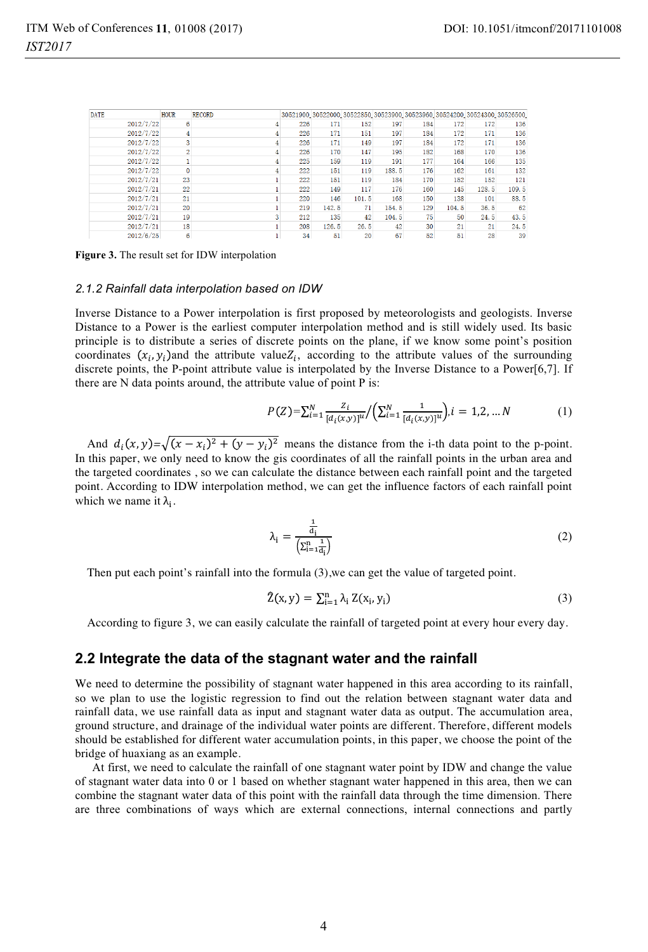| <b>DATE</b> | <b>HOUR</b> | <b>RECORD</b> |     |       |       |       |     |       | 30521900 30522000 30522850 30523900 30523960 30524200 30524300 30526500 |       |
|-------------|-------------|---------------|-----|-------|-------|-------|-----|-------|-------------------------------------------------------------------------|-------|
| 2012/7/22   |             |               | 226 | 171   | 152   | 197   | 184 | 172   | 172                                                                     | 136   |
| 2012/7/22   |             |               | 226 | 171   | 151   | 197   | 184 | 172   | 171                                                                     | 136   |
| 2012/7/22   |             |               | 226 | 171   | 149   | 197   | 184 | 172   | 171                                                                     | 136   |
| 2012/7/22   |             |               | 226 | 170   | 147   | 195   | 182 | 168   | 170                                                                     | 136   |
| 2012/7/22   |             |               | 225 | 159   | 119   | 191   | 177 | 164   | 166                                                                     | 135   |
| 2012/7/22   |             |               | 222 | 151   | 119   | 188.5 | 176 | 162   | 161                                                                     | 132   |
| 2012/7/21   | 23          |               | 222 | 151   | 119   | 184   | 170 | 152   | 152                                                                     | 121   |
| 2012/7/21   | 22          |               | 222 | 149   | 117   | 176   | 160 | 145   | 128.5                                                                   | 109.5 |
| 2012/7/21   | 21          |               | 220 | 146   | 101.5 | 168   | 150 | 138   | 101                                                                     | 88.5  |
| 2012/7/21   | 20          |               | 219 | 142.5 | 71    | 154.5 | 129 | 104.5 | 36.5                                                                    | 62    |
| 2012/7/21   | 19          |               | 212 | 135   | 42    | 104.5 | 75  | 50    | 24.5                                                                    | 43.5  |
| 2012/7/21   | 18          |               | 208 | 126.5 | 26.5  | 42    | 30  | 21    | 21                                                                      | 24.5  |
| 2012/6/25   |             |               | 34  | 51    | 20    | 67    | 52  | 51    | 28                                                                      | 39    |

**Figure 3.** The result set for IDW interpolation

#### *2.1.2 Rainfall data interpolation based on IDW*

Inverse Distance to a Power interpolation is first proposed by meteorologists and geologists. Inverse Distance to a Power is the earliest computer interpolation method and is still widely used. Its basic principle is to distribute a series of discrete points on the plane, if we know some point's position coordinates  $(x_i, y_i)$  and the attribute value  $Z_i$ , according to the attribute values of the surrounding discrete points, the P-point attribute value is interpolated by the Inverse Distance to a Power[6,7]. If there are N data points around, the attribute value of point P is:

$$
P(Z) = \sum_{i=1}^{N} \frac{z_i}{[a_i(x,y)]^u} / \left( \sum_{i=1}^{N} \frac{1}{[a_i(x,y)]^u} \right), i = 1,2, \dots N
$$
 (1)

And  $d_i(x, y) = \sqrt{(x - x_i)^2 + (y - y_i)^2}$  means the distance from the i-th data point to the p-point. In this paper, we only need to know the gis coordinates of all the rainfall points in the urban area and the targeted coordinates , so we can calculate the distance between each rainfall point and the targeted point. According to IDW interpolation method, we can get the influence factors of each rainfall point which we name it  $\lambda_i$ .

$$
\lambda_i = \frac{\frac{1}{d_i}}{\left(\sum_{i=1}^n \frac{1}{d_i}\right)}
$$
\n<sup>(2)</sup>

Then put each point's rainfall into the formula (3),we can get the value of targeted point.

$$
\hat{Z}(x,y) = \sum_{i=1}^{n} \lambda_i Z(x_i, y_i)
$$
\n(3)

According to figure 3, we can easily calculate the rainfall of targeted point at every hour every day.

## **2.2 Integrate the data of the stagnant water and the rainfall**

We need to determine the possibility of stagnant water happened in this area according to its rainfall, so we plan to use the logistic regression to find out the relation between stagnant water data and rainfall data, we use rainfall data as input and stagnant water data as output. The accumulation area, ground structure, and drainage of the individual water points are different. Therefore, different models should be established for different water accumulation points, in this paper, we choose the point of the bridge of huaxiang as an example.

At first, we need to calculate the rainfall of one stagnant water point by IDW and change the value of stagnant water data into 0 or 1 based on whether stagnant water happened in this area, then we can combine the stagnant water data of this point with the rainfall data through the time dimension. There are three combinations of ways which are external connections, internal connections and partly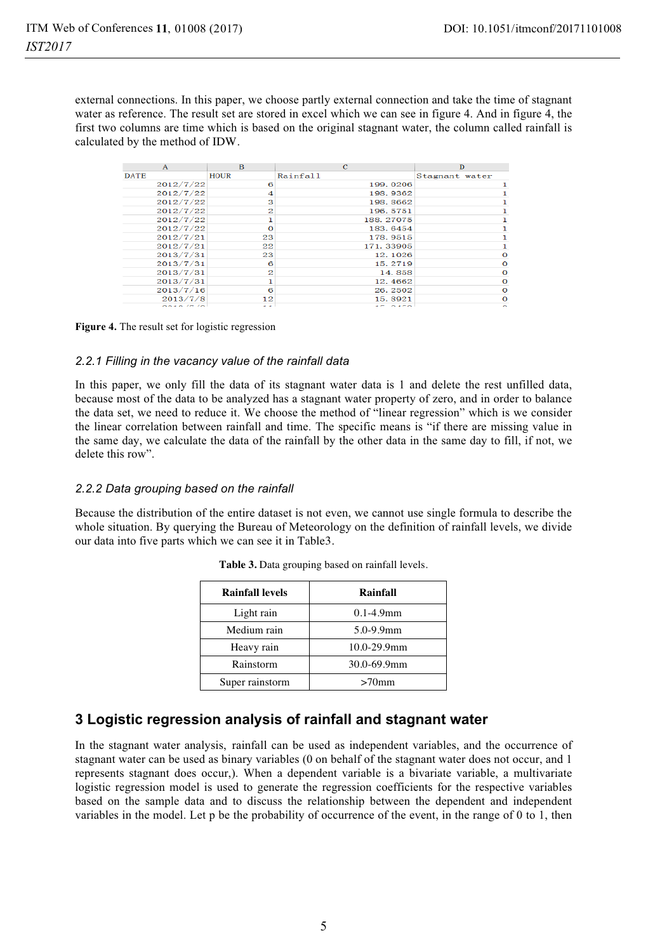external connections. In this paper, we choose partly external connection and take the time of stagnant water as reference. The result set are stored in excel which we can see in figure 4. And in figure 4, the first two columns are time which is based on the original stagnant water, the column called rainfall is calculated by the method of IDW.

| $\mathbf{A}$ | в           | C         | D              |
|--------------|-------------|-----------|----------------|
| <b>DATE</b>  | <b>HOUR</b> | Rainfall  | Stagnant water |
| 2012/7/22    | 6           | 199.0206  |                |
| 2012/7/22    | 4           | 198.9362  |                |
| 2012/7/22    | з           | 198.8662  |                |
| 2012/7/22    | 2           | 196.5751  |                |
| 2012/7/22    |             | 188.27075 |                |
| 2012/7/22    | $\Omega$    | 183.6454  |                |
| 2012/7/21    | 23          | 178.9515  |                |
| 2012/7/21    | 22          | 171.33905 |                |
| 2013/7/31    | 23          | 12.1026   | O              |
| 2013/7/31    | 6           | 15.2719   | O              |
| 2013/7/31    | 2           | 14.858    | O              |
| 2013/7/31    |             | 12.4662   | O              |
| 2013/7/16    | б           | 26.2502   | O              |
| 2013/7/8     | $12 \,$     | 15.8921   | Ω              |
| 0.01010      | . .         | $-1$      | ÷              |

**Figure 4.** The result set for logistic regression

### *2.2.1 Filling in the vacancy value of the rainfall data*

In this paper, we only fill the data of its stagnant water data is 1 and delete the rest unfilled data, because most of the data to be analyzed has a stagnant water property of zero, and in order to balance the data set, we need to reduce it. We choose the method of "linear regression" which is we consider the linear correlation between rainfall and time. The specific means is "if there are missing value in the same day, we calculate the data of the rainfall by the other data in the same day to fill, if not, we delete this row".

### *2.2.2 Data grouping based on the rainfall*

Because the distribution of the entire dataset is not even, we cannot use single formula to describe the whole situation. By querying the Bureau of Meteorology on the definition of rainfall levels, we divide our data into five parts which we can see it in Table3.

| <b>Rainfall levels</b> | Rainfall       |  |  |
|------------------------|----------------|--|--|
| Light rain             | $0.1 - 4.9$ mm |  |  |
| Medium rain            | 5.0-9.9mm      |  |  |
| Heavy rain             | 10.0-29.9mm    |  |  |
| Rainstorm              | 30.0-69.9mm    |  |  |
| Super rainstorm        | $>70$ mm       |  |  |

# **3 Logistic regression analysis of rainfall and stagnant water**

In the stagnant water analysis, rainfall can be used as independent variables, and the occurrence of stagnant water can be used as binary variables (0 on behalf of the stagnant water does not occur, and 1 represents stagnant does occur,). When a dependent variable is a bivariate variable, a multivariate logistic regression model is used to generate the regression coefficients for the respective variables based on the sample data and to discuss the relationship between the dependent and independent variables in the model. Let p be the probability of occurrence of the event, in the range of 0 to 1, then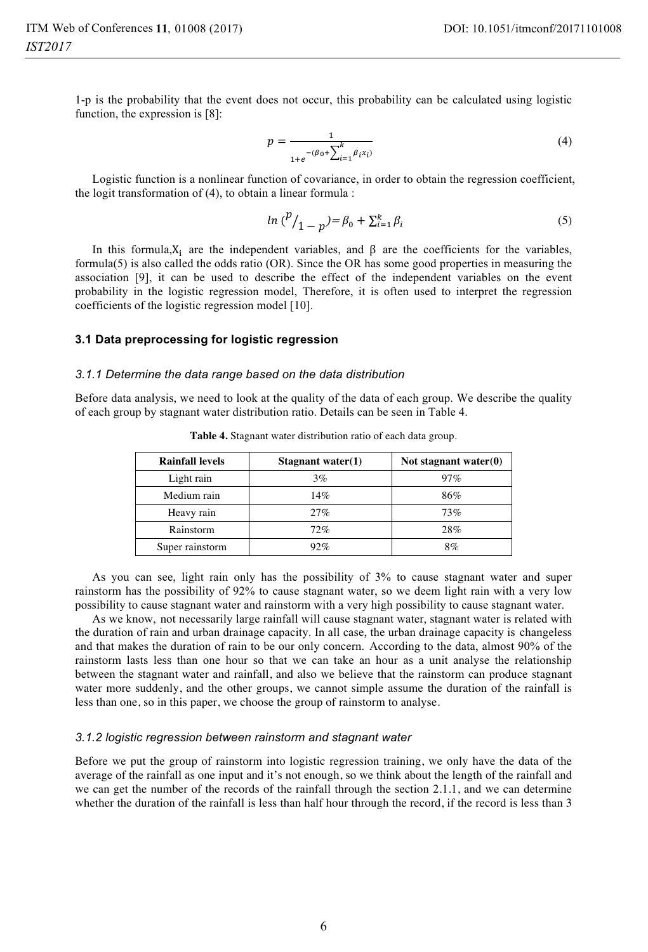1-p is the probability that the event does not occur, this probability can be calculated using logistic function, the expression is [8]:

$$
p = \frac{1}{1 + e^{-(\beta_0 + \sum_{i=1}^k \beta_i x_i)}}\tag{4}
$$

Logistic function is a nonlinear function of covariance, in order to obtain the regression coefficient, the logit transformation of (4), to obtain a linear formula :

$$
\ln \binom{p}{1-p} = \beta_0 + \sum_{i=1}^{k} \beta_i \tag{5}
$$

In this formula,  $X_i$  are the independent variables, and  $\beta$  are the coefficients for the variables, formula(5) is also called the odds ratio (OR). Since the OR has some good properties in measuring the association [9], it can be used to describe the effect of the independent variables on the event probability in the logistic regression model, Therefore, it is often used to interpret the regression coefficients of the logistic regression model [10].

#### **3.1 Data preprocessing for logistic regression**

#### *3.1.1 Determine the data range based on the data distribution*

Before data analysis, we need to look at the quality of the data of each group. We describe the quality of each group by stagnant water distribution ratio. Details can be seen in Table 4.

| <b>Rainfall levels</b> | Stagnant water(1) | Not stagnant water $(0)$ |  |
|------------------------|-------------------|--------------------------|--|
| Light rain             | 3%                | 97%                      |  |
| Medium rain            | 14%               | 86%                      |  |
| Heavy rain             | 27%               | 73%                      |  |
| Rainstorm              | 72%               | 28%                      |  |
| Super rainstorm        | 92%               | 8%                       |  |

**Table 4.** Stagnant water distribution ratio of each data group.

As you can see, light rain only has the possibility of 3% to cause stagnant water and super rainstorm has the possibility of 92% to cause stagnant water, so we deem light rain with a very low possibility to cause stagnant water and rainstorm with a very high possibility to cause stagnant water.

As we know, not necessarily large rainfall will cause stagnant water, stagnant water is related with the duration of rain and urban drainage capacity. In all case, the urban drainage capacity is changeless and that makes the duration of rain to be our only concern. According to the data, almost 90% of the rainstorm lasts less than one hour so that we can take an hour as a unit analyse the relationship between the stagnant water and rainfall, and also we believe that the rainstorm can produce stagnant water more suddenly, and the other groups, we cannot simple assume the duration of the rainfall is less than one, so in this paper, we choose the group of rainstorm to analyse.

### *3.1.2 logistic regression between rainstorm and stagnant water*

Before we put the group of rainstorm into logistic regression training, we only have the data of the average of the rainfall as one input and it's not enough, so we think about the length of the rainfall and we can get the number of the records of the rainfall through the section 2.1.1, and we can determine whether the duration of the rainfall is less than half hour through the record, if the record is less than 3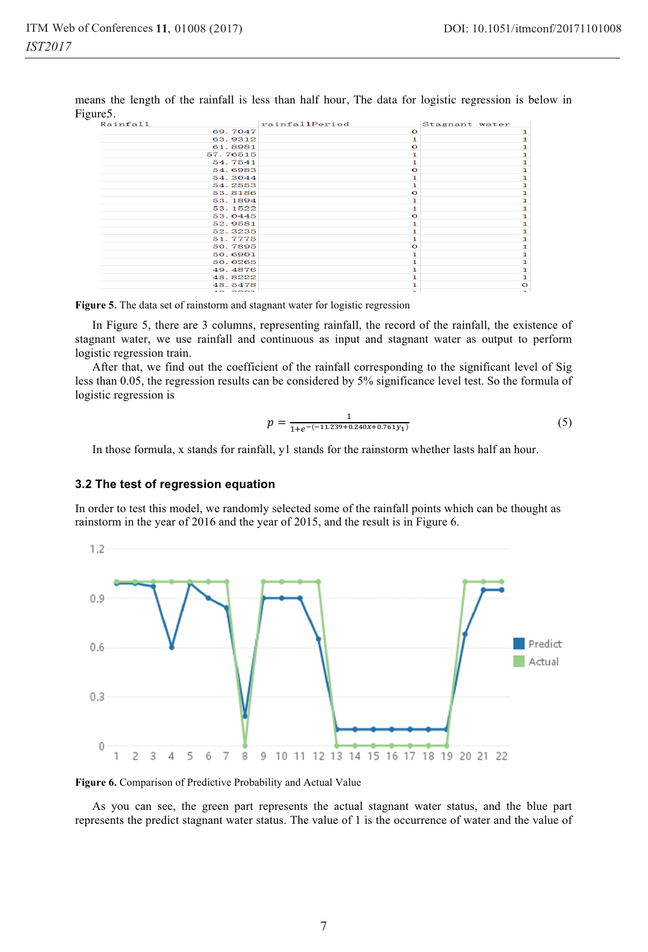| Rainfall |            | rainfallPeriod | Stagnant water |
|----------|------------|----------------|----------------|
|          | 69.7047    | $\Omega$       |                |
|          | 63.9312    |                |                |
|          | 61.8981    | $\Omega$       |                |
|          | 57.76515   | 1              |                |
|          | 54.7541    | п              |                |
|          | 54.6983    | $\Omega$       |                |
|          | 54.3044    |                |                |
|          | 54.2553    |                |                |
|          | 53.8186    | $\Omega$       |                |
|          | 53.1894    | ٦              |                |
|          | 53.1522    | п              | п              |
|          | 53.0445    | $\Omega$       |                |
|          | 52.9581    |                |                |
|          | 52.3235    |                |                |
|          | 51.7775    | ٦              |                |
|          | 50.7895    | $\Omega$       |                |
|          | 50.6901    | п              |                |
|          | 50.0265    |                |                |
|          | 49.4876    |                |                |
|          | 48.8222    |                |                |
|          | 48.5478    |                | $\Omega$       |
|          | $10 - 200$ | $\mathbf{r}$   |                |

means the length of the rainfall is less than half hour, The data for logistic regression is below in Figure5.

**Figure 5.** The data set of rainstorm and stagnant water for logistic regression

In Figure 5, there are 3 columns, representing rainfall, the record of the rainfall, the existence of stagnant water, we use rainfall and continuous as input and stagnant water as output to perform logistic regression train.

After that, we find out the coefficient of the rainfall corresponding to the significant level of Sig less than 0.05, the regression results can be considered by 5% significance level test. So the formula of logistic regression is

$$
p = \frac{1}{1 + e^{-(-11.239 + 0.240x + 0.761y_1)}}
$$
(5)

In those formula, x stands for rainfall, y1 stands for the rainstorm whether lasts half an hour.

#### **3.2 The test of regression equation**

In order to test this model, we randomly selected some of the rainfall points which can be thought as rainstorm in the year of 2016 and the year of 2015, and the result is in Figure 6.



**Figure 6.** Comparison of Predictive Probability and Actual Value

As you can see, the green part represents the actual stagnant water status, and the blue part represents the predict stagnant water status. The value of 1 is the occurrence of water and the value of